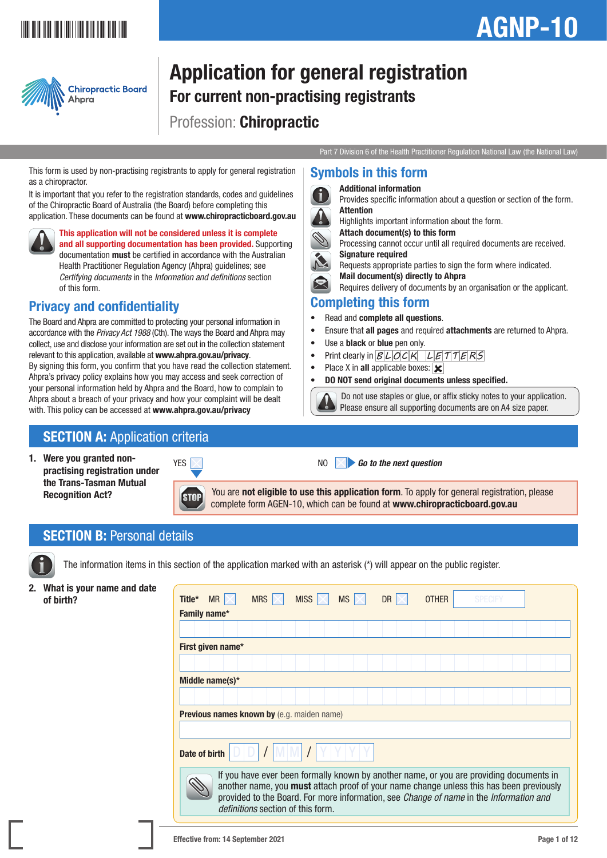## \*AGNP-101\*

# AGNP-10



## Application for general registration For current non-practising registrants Profession: Chiropractic

Part 7 Division 6 of the Health Practitioner Regulation National Law (the National Law)

Provides specific information about a question or section of the form.

Processing cannot occur until all required documents are received.

Requires delivery of documents by an organisation or the applicant.

 Do not use staples or glue, or affix sticky notes to your application. Please ensure all supporting documents are on A4 size paper.

Requests appropriate parties to sign the form where indicated.

• Ensure that all pages and required attachments are returned to Ahpra.

Highlights important information about the form.

Attach document(s) to this form

Mail document(s) directly to Ahpra

• Print clearly in  $BLOCK$   $LETTERS$ 

• DO NOT send original documents unless specified.

This form is used by non-practising registrants to apply for general registration as a chiropractor.

It is important that you refer to the registration standards, codes and guidelines of the Chiropractic Board of Australia (the Board) before completing this application. These documents can be found at www.chiropracticboard.gov.au



This application will not be considered unless it is complete and all supporting documentation has been provided. Supporting documentation must be certified in accordance with the Australian Health Practitioner Regulation Agency (Ahpra) guidelines; see *Certifying documents* in the *Information and definitions* section of this form.

### Privacy and confidentiality

The Board and Ahpra are committed to protecting your personal information in accordance with the *Privacy Act 1988* (Cth). The ways the Board and Ahpra may collect, use and disclose your information are set out in the collection statement relevant to this application, available at www.ahpra.gov.au/privacy. By signing this form, you confirm that you have read the collection statement. Ahpra's privacy policy explains how you may access and seek correction of your personal information held by Ahpra and the Board, how to complain to Ahpra about a breach of your privacy and how your complaint will be dealt with. This policy can be accessed at www.ahpra.gov.au/privacy

### **SECTION A: Application criteria**

1. Were you granted nonpractising registration under the Trans-Tasman Mutual Recognition Act?



**STOP** 



YES NO *Go to the next question*

Symbols in this form Additional information

Signature required

Completing this form • Read and complete all questions.

• Use a **black** or **blue** pen only.

• Place X in all applicable boxes:  $|\mathbf{x}|$ 

Attention

You are **not eligible to use this application form**. To apply for general registration, please complete form AGEN-10, which can be found at www.chiropracticboard.gov.au

### **SECTION B: Personal details**

The information items in this section of the application marked with an asterisk (\*) will appear on the public register.

2. What is your name and date

| What is your name and date<br>of birth? | $MR \times$<br>Title*                             | <b>MRS</b>                        | <b>MS</b><br>MISS $\mathbb{R}$                                                         | DR. | <b>OTHER</b> | <b>SPECIFY</b>                                                                                                                                                                     |
|-----------------------------------------|---------------------------------------------------|-----------------------------------|----------------------------------------------------------------------------------------|-----|--------------|------------------------------------------------------------------------------------------------------------------------------------------------------------------------------------|
|                                         | Family name*                                      |                                   |                                                                                        |     |              |                                                                                                                                                                                    |
|                                         |                                                   |                                   |                                                                                        |     |              |                                                                                                                                                                                    |
|                                         | First given name*                                 |                                   |                                                                                        |     |              |                                                                                                                                                                                    |
|                                         |                                                   |                                   |                                                                                        |     |              |                                                                                                                                                                                    |
|                                         | Middle name(s) $*$                                |                                   |                                                                                        |     |              |                                                                                                                                                                                    |
|                                         |                                                   |                                   |                                                                                        |     |              |                                                                                                                                                                                    |
|                                         | <b>Previous names known by (e.g. maiden name)</b> |                                   |                                                                                        |     |              |                                                                                                                                                                                    |
|                                         |                                                   |                                   |                                                                                        |     |              |                                                                                                                                                                                    |
|                                         | Date of birth                                     |                                   |                                                                                        |     |              |                                                                                                                                                                                    |
|                                         |                                                   | definitions section of this form. | provided to the Board. For more information, see Change of name in the Information and |     |              | If you have ever been formally known by another name, or you are providing documents in<br>another name, you must attach proof of your name change unless this has been previously |
|                                         |                                                   |                                   |                                                                                        |     |              |                                                                                                                                                                                    |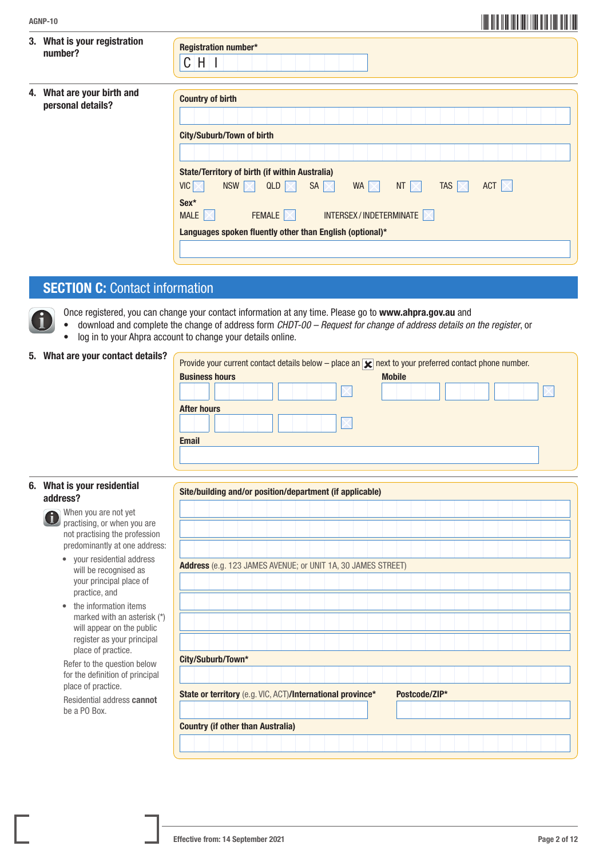| AGNP-10 |  |
|---------|--|
|         |  |

| 3. What is your registration<br>number?         | Registration number*<br>$CH$ $I$                                                                                             |
|-------------------------------------------------|------------------------------------------------------------------------------------------------------------------------------|
| 4. What are your birth and<br>personal details? | <b>Country of birth</b>                                                                                                      |
|                                                 | <b>City/Suburb/Town of birth</b>                                                                                             |
|                                                 |                                                                                                                              |
|                                                 | <b>State/Territory of birth (if within Australia)</b>                                                                        |
|                                                 | $VIC \times$<br>NSW $\nabla$<br>QLD<br>SA $\neg$<br>WA $\nabla$<br>TAS $\nabla$<br>ACT $ \times $<br>NT $\vert \times \vert$ |
|                                                 | Sex*<br>INTERSEX/INDETERMINATE<br>FEMALE $ \times $<br>MALE $ \times $                                                       |
|                                                 | Languages spoken fluently other than English (optional)*                                                                     |
|                                                 |                                                                                                                              |

### **SECTION C: Contact information**

- Once registered, you can change your contact information at any time. Please go to www.ahpra.gov.au and
- download and complete the change of address form *CHDT-00 Request for change of address details on the register*, or
- log in to your Ahpra account to change your details online.

|  |  |  |  |  | 5. What are your contact details? |
|--|--|--|--|--|-----------------------------------|
|--|--|--|--|--|-----------------------------------|

| Provide your current contact details below – place an $\sqrt{\phantom{0}}$ next to your preferred contact phone number. |                    |
|-------------------------------------------------------------------------------------------------------------------------|--------------------|
| <b>Business hours</b>                                                                                                   | <b>Mobile</b>      |
|                                                                                                                         |                    |
|                                                                                                                         |                    |
|                                                                                                                         |                    |
| <b>Email</b>                                                                                                            |                    |
|                                                                                                                         |                    |
|                                                                                                                         | <b>After hours</b> |

#### 6. What is your residential address?

- When you are not yet practising, or when you are not practising the profession predominantly at one address:
- your residential address will be recognised as your principal place of practice, and
- the information items marked with an asterisk (\*) will appear on the public register as your principal place of practice.

 Refer to the question below for the definition of principal place of practice.

 Residential address cannot be a PO Box.

| Site/building and/or position/department (if applicable)     |  |  |  |  |  |  |               |  |  |  |  |  |  |
|--------------------------------------------------------------|--|--|--|--|--|--|---------------|--|--|--|--|--|--|
|                                                              |  |  |  |  |  |  |               |  |  |  |  |  |  |
|                                                              |  |  |  |  |  |  |               |  |  |  |  |  |  |
|                                                              |  |  |  |  |  |  |               |  |  |  |  |  |  |
|                                                              |  |  |  |  |  |  |               |  |  |  |  |  |  |
|                                                              |  |  |  |  |  |  |               |  |  |  |  |  |  |
| Address (e.g. 123 JAMES AVENUE; or UNIT 1A, 30 JAMES STREET) |  |  |  |  |  |  |               |  |  |  |  |  |  |
|                                                              |  |  |  |  |  |  |               |  |  |  |  |  |  |
|                                                              |  |  |  |  |  |  |               |  |  |  |  |  |  |
|                                                              |  |  |  |  |  |  |               |  |  |  |  |  |  |
|                                                              |  |  |  |  |  |  |               |  |  |  |  |  |  |
|                                                              |  |  |  |  |  |  |               |  |  |  |  |  |  |
|                                                              |  |  |  |  |  |  |               |  |  |  |  |  |  |
|                                                              |  |  |  |  |  |  |               |  |  |  |  |  |  |
|                                                              |  |  |  |  |  |  |               |  |  |  |  |  |  |
| City/Suburb/Town*                                            |  |  |  |  |  |  |               |  |  |  |  |  |  |
|                                                              |  |  |  |  |  |  |               |  |  |  |  |  |  |
|                                                              |  |  |  |  |  |  |               |  |  |  |  |  |  |
| State or territory (e.g. VIC, ACT)/International province*   |  |  |  |  |  |  | Postcode/ZIP* |  |  |  |  |  |  |
|                                                              |  |  |  |  |  |  |               |  |  |  |  |  |  |
|                                                              |  |  |  |  |  |  |               |  |  |  |  |  |  |
| <b>Country (if other than Australia)</b>                     |  |  |  |  |  |  |               |  |  |  |  |  |  |
|                                                              |  |  |  |  |  |  |               |  |  |  |  |  |  |
|                                                              |  |  |  |  |  |  |               |  |  |  |  |  |  |

\*AGNP-102\* AGNP-10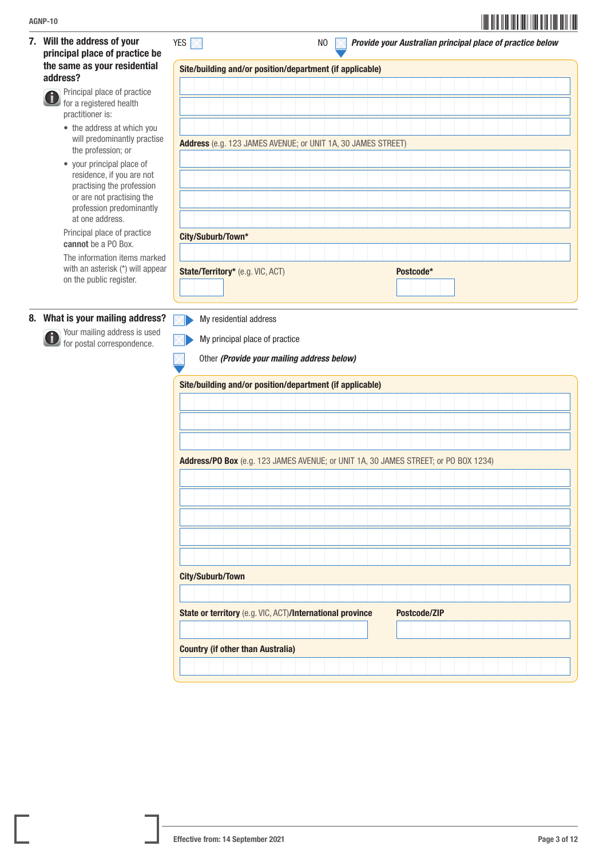7. Will the address of your principal place of practice be the same as your residential address?

> Principal place of practice Ci. for a registered health practitioner is:

- the address at which you will predominantly practise the profession; or
- your principal place of residence, if you are not practising the profession or are not practising the profession predominantly at one address.

Principal place of practice cannot be a PO Box.

 The information items marked with an asterisk (\*) will appear on the public register.

#### 8. What is your mailing address?

 Your mailing address is used **for postal correspondence.** 

| Site/building and/or position/department (if applicable)     |  |  |  |  |  |  |           |  |  |  |  |  |  |
|--------------------------------------------------------------|--|--|--|--|--|--|-----------|--|--|--|--|--|--|
|                                                              |  |  |  |  |  |  |           |  |  |  |  |  |  |
|                                                              |  |  |  |  |  |  |           |  |  |  |  |  |  |
|                                                              |  |  |  |  |  |  |           |  |  |  |  |  |  |
|                                                              |  |  |  |  |  |  |           |  |  |  |  |  |  |
| Address (e.g. 123 JAMES AVENUE; or UNIT 1A, 30 JAMES STREET) |  |  |  |  |  |  |           |  |  |  |  |  |  |
|                                                              |  |  |  |  |  |  |           |  |  |  |  |  |  |
|                                                              |  |  |  |  |  |  |           |  |  |  |  |  |  |
|                                                              |  |  |  |  |  |  |           |  |  |  |  |  |  |
|                                                              |  |  |  |  |  |  |           |  |  |  |  |  |  |
| City/Suburb/Town*                                            |  |  |  |  |  |  |           |  |  |  |  |  |  |
|                                                              |  |  |  |  |  |  |           |  |  |  |  |  |  |
| State/Territory* (e.g. VIC, ACT)                             |  |  |  |  |  |  | Postcode* |  |  |  |  |  |  |
|                                                              |  |  |  |  |  |  |           |  |  |  |  |  |  |

My residential address  $\nabla$ 



Other *(Provide your mailing address below)*

|  | Site/building and/or position/department (if applicable)                            |  |  |  |  |  |  |              |  |  |  |  |  |  |
|--|-------------------------------------------------------------------------------------|--|--|--|--|--|--|--------------|--|--|--|--|--|--|
|  |                                                                                     |  |  |  |  |  |  |              |  |  |  |  |  |  |
|  |                                                                                     |  |  |  |  |  |  |              |  |  |  |  |  |  |
|  |                                                                                     |  |  |  |  |  |  |              |  |  |  |  |  |  |
|  |                                                                                     |  |  |  |  |  |  |              |  |  |  |  |  |  |
|  | Address/PO Box (e.g. 123 JAMES AVENUE; or UNIT 1A, 30 JAMES STREET; or PO BOX 1234) |  |  |  |  |  |  |              |  |  |  |  |  |  |
|  |                                                                                     |  |  |  |  |  |  |              |  |  |  |  |  |  |
|  |                                                                                     |  |  |  |  |  |  |              |  |  |  |  |  |  |
|  |                                                                                     |  |  |  |  |  |  |              |  |  |  |  |  |  |
|  |                                                                                     |  |  |  |  |  |  |              |  |  |  |  |  |  |
|  |                                                                                     |  |  |  |  |  |  |              |  |  |  |  |  |  |
|  |                                                                                     |  |  |  |  |  |  |              |  |  |  |  |  |  |
|  |                                                                                     |  |  |  |  |  |  |              |  |  |  |  |  |  |
|  | City/Suburb/Town                                                                    |  |  |  |  |  |  |              |  |  |  |  |  |  |
|  |                                                                                     |  |  |  |  |  |  |              |  |  |  |  |  |  |
|  | State or territory (e.g. VIC, ACT)/International province                           |  |  |  |  |  |  | Postcode/ZIP |  |  |  |  |  |  |
|  |                                                                                     |  |  |  |  |  |  |              |  |  |  |  |  |  |
|  | <b>Country (if other than Australia)</b>                                            |  |  |  |  |  |  |              |  |  |  |  |  |  |
|  |                                                                                     |  |  |  |  |  |  |              |  |  |  |  |  |  |
|  |                                                                                     |  |  |  |  |  |  |              |  |  |  |  |  |  |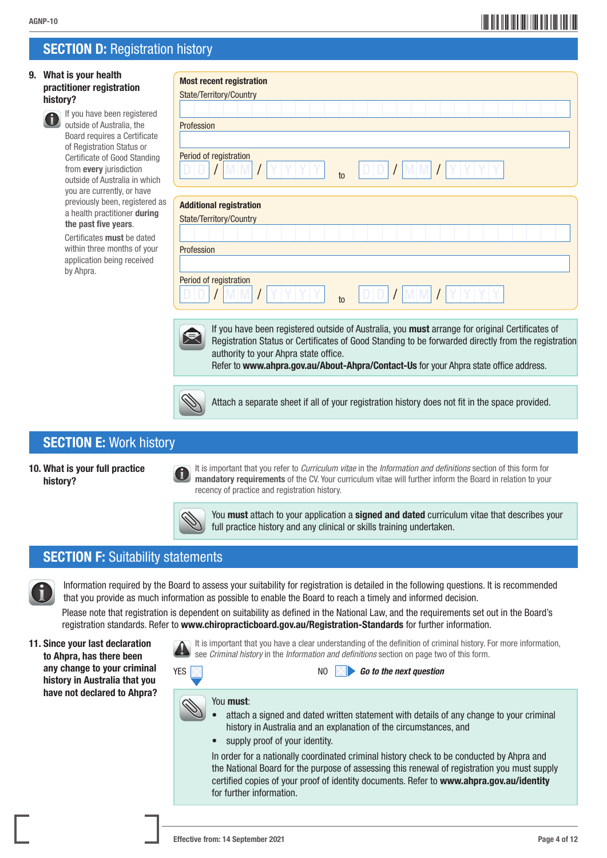## \*AGNP-104\* AGNP-10

### **SECTION D: Registration history**

#### 9. What is your health practitioner registratio history?



| 9. What is your health                                                                          | <b>Most recent registration</b>                                                                                                                                                                                                                                                                                                          |
|-------------------------------------------------------------------------------------------------|------------------------------------------------------------------------------------------------------------------------------------------------------------------------------------------------------------------------------------------------------------------------------------------------------------------------------------------|
| practitioner registration                                                                       | State/Territory/Country                                                                                                                                                                                                                                                                                                                  |
| history?                                                                                        |                                                                                                                                                                                                                                                                                                                                          |
| If you have been registered<br>outside of Australia, the                                        | Profession                                                                                                                                                                                                                                                                                                                               |
| Board requires a Certificate                                                                    |                                                                                                                                                                                                                                                                                                                                          |
| of Registration Status or                                                                       |                                                                                                                                                                                                                                                                                                                                          |
| <b>Certificate of Good Standing</b><br>from every jurisdiction<br>outside of Australia in which | Period of registration<br>to                                                                                                                                                                                                                                                                                                             |
| you are currently, or have<br>previously been, registered as                                    |                                                                                                                                                                                                                                                                                                                                          |
| a health practitioner during                                                                    | <b>Additional registration</b>                                                                                                                                                                                                                                                                                                           |
| the past five years.                                                                            | State/Territory/Country                                                                                                                                                                                                                                                                                                                  |
| Certificates must be dated                                                                      |                                                                                                                                                                                                                                                                                                                                          |
| within three months of your<br>application being received                                       | Profession                                                                                                                                                                                                                                                                                                                               |
| by Ahpra.                                                                                       |                                                                                                                                                                                                                                                                                                                                          |
|                                                                                                 | Period of registration<br>to                                                                                                                                                                                                                                                                                                             |
|                                                                                                 |                                                                                                                                                                                                                                                                                                                                          |
|                                                                                                 | If you have been registered outside of Australia, you must arrange for original Certificates of<br>Registration Status or Certificates of Good Standing to be forwarded directly from the registration<br>authority to your Ahpra state office.<br>Refer to www.ahpra.gov.au/About-Ahpra/Contact-Us for your Ahpra state office address. |
|                                                                                                 |                                                                                                                                                                                                                                                                                                                                          |
|                                                                                                 | Attach a separate sheet if all of your registration history does not fit in the space provided.                                                                                                                                                                                                                                          |
|                                                                                                 |                                                                                                                                                                                                                                                                                                                                          |
| <b>SECTION E: Work history</b>                                                                  |                                                                                                                                                                                                                                                                                                                                          |
|                                                                                                 |                                                                                                                                                                                                                                                                                                                                          |
| 10. What is your full practice<br>history?                                                      | It is important that you refer to <i>Curriculum vitae</i> in the Information and definitions section of this form for<br>mandatory requirements of the CV. Your curriculum vitae will further inform the Board in relation to your<br>recency of practice and registration history.                                                      |
|                                                                                                 | $\sim$<br>You must attach to your application a signed and dated curriculum vitae that describes your<br>full practice history and any clinical or skills training undertaken.                                                                                                                                                           |
| <b>SECTION F: Suitability statements</b>                                                        |                                                                                                                                                                                                                                                                                                                                          |
|                                                                                                 |                                                                                                                                                                                                                                                                                                                                          |
|                                                                                                 | Information required by the Board to assess your suitability for registration is detailed in the following questions. It is recommended<br>that you provide as much information as possible to enable the Board to reach a timely and informed decision.                                                                                 |
|                                                                                                 | Please note that registration is dependent on suitability as defined in the National Law, and the requirements set out in the Board's<br>registration standards. Refer to www.chiropracticboard.gov.au/Registration-Standards for further information.                                                                                   |
| 11. Since your last declaration<br>to Ahpra, has there been                                     | It is important that you have a clear understanding of the definition of criminal history. For more information,<br>see Criminal history in the Information and definitions section on page two of this form.                                                                                                                            |

11. Since your last declara to Ahpra, has there bee any change to your criminal history in Australia that you have not declared to Ahpra?





#### You must:

- attach a signed and dated written statement with details of any change to your criminal history in Australia and an explanation of the circumstances, and
- supply proof of your identity.

 In order for a nationally coordinated criminal history check to be conducted by Ahpra and the National Board for the purpose of assessing this renewal of registration you must supply certified copies of your proof of identity documents. Refer to <www.ahpra.gov.au/identity> for further information.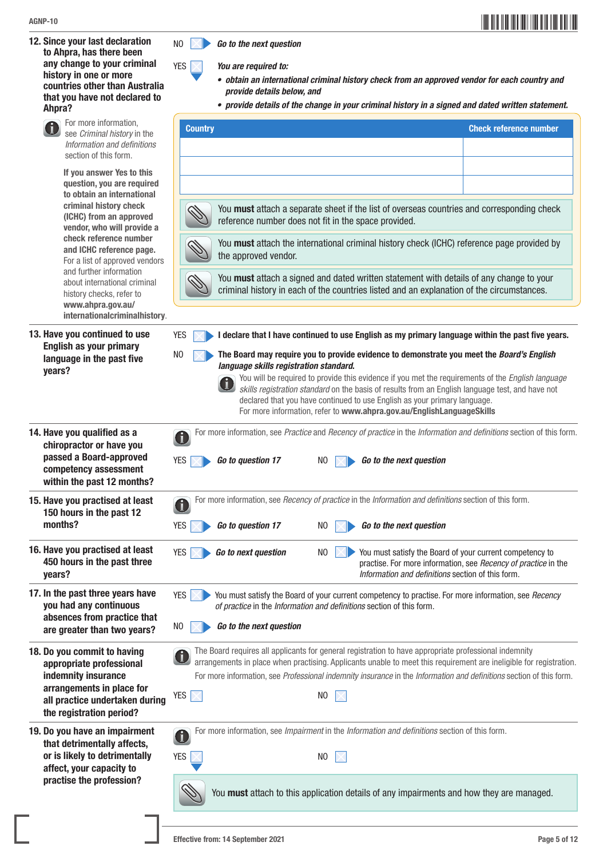12. Since your last declaration to Ahpra, has there been any change to your criminal history in one or more countries other than Australia that you have not declared to Ahpra?





YES *You are required to:*

- *• obtain an international criminal history check from an approved vendor for each country and provide details below, and*
- *• provide details of the change in your criminal history in a signed and dated written statement.*

| For more information,<br>see Criminal history in the                                                                                      | <b>Country</b>                                                                                                                                                                                                                                                                                                                                                                                                                                                                                                       | <b>Check reference number</b>                                                                                              |
|-------------------------------------------------------------------------------------------------------------------------------------------|----------------------------------------------------------------------------------------------------------------------------------------------------------------------------------------------------------------------------------------------------------------------------------------------------------------------------------------------------------------------------------------------------------------------------------------------------------------------------------------------------------------------|----------------------------------------------------------------------------------------------------------------------------|
| Information and definitions<br>section of this form.                                                                                      |                                                                                                                                                                                                                                                                                                                                                                                                                                                                                                                      |                                                                                                                            |
| If you answer Yes to this<br>question, you are required                                                                                   |                                                                                                                                                                                                                                                                                                                                                                                                                                                                                                                      |                                                                                                                            |
| to obtain an international<br>criminal history check<br>(ICHC) from an approved<br>vendor, who will provide a                             | You must attach a separate sheet if the list of overseas countries and corresponding check<br>reference number does not fit in the space provided.                                                                                                                                                                                                                                                                                                                                                                   |                                                                                                                            |
| check reference number<br>and ICHC reference page.<br>For a list of approved vendors                                                      | You must attach the international criminal history check (ICHC) reference page provided by<br>the approved vendor.                                                                                                                                                                                                                                                                                                                                                                                                   |                                                                                                                            |
| and further information<br>about international criminal<br>history checks, refer to<br>www.ahpra.gov.au/<br>internationalcriminalhistory. | You must attach a signed and dated written statement with details of any change to your<br>criminal history in each of the countries listed and an explanation of the circumstances.                                                                                                                                                                                                                                                                                                                                 |                                                                                                                            |
| 13. Have you continued to use<br>English as your primary                                                                                  | <b>YES</b><br>I declare that I have continued to use English as my primary language within the past five years.                                                                                                                                                                                                                                                                                                                                                                                                      |                                                                                                                            |
| language in the past five<br>years?                                                                                                       | The Board may require you to provide evidence to demonstrate you meet the Board's English<br>N <sub>0</sub><br>language skills registration standard.<br>You will be required to provide this evidence if you met the requirements of the English language<br>skills registration standard on the basis of results from an English language test, and have not<br>declared that you have continued to use English as your primary language.<br>For more information, refer to www.ahpra.gov.au/EnglishLanguageSkills |                                                                                                                            |
| 14. Have you qualified as a<br>chiropractor or have you<br>passed a Board-approved<br>competency assessment<br>within the past 12 months? | For more information, see Practice and Recency of practice in the Information and definitions section of this form.<br>Go to the next question<br>YES<br>Go to question 17<br>N <sub>0</sub>                                                                                                                                                                                                                                                                                                                         |                                                                                                                            |
| 15. Have you practised at least<br>150 hours in the past 12<br>months?                                                                    | For more information, see Recency of practice in the Information and definitions section of this form.<br>0<br><b>YES</b><br>Go to question 17<br>Go to the next question<br>N <sub>0</sub>                                                                                                                                                                                                                                                                                                                          |                                                                                                                            |
| 16. Have you practised at least<br>450 hours in the past three<br>years?                                                                  | <b>YES</b><br>N <sub>0</sub><br>Go to next question<br>Information and definitions section of this form.                                                                                                                                                                                                                                                                                                                                                                                                             | You must satisfy the Board of your current competency to<br>practise. For more information, see Recency of practice in the |
| 17. In the past three years have<br>you had any continuous<br>absences from practice that                                                 | <b>YES</b><br>You must satisfy the Board of your current competency to practise. For more information, see Recency<br>of practice in the Information and definitions section of this form.                                                                                                                                                                                                                                                                                                                           |                                                                                                                            |
| are greater than two years?                                                                                                               | Go to the next question<br>NO                                                                                                                                                                                                                                                                                                                                                                                                                                                                                        |                                                                                                                            |
| 18. Do you commit to having<br>appropriate professional<br>indemnity insurance                                                            | The Board requires all applicants for general registration to have appropriate professional indemnity<br>arrangements in place when practising. Applicants unable to meet this requirement are ineligible for registration.<br>For more information, see Professional indemnity insurance in the Information and definitions section of this form.                                                                                                                                                                   |                                                                                                                            |
| arrangements in place for<br>all practice undertaken during<br>the registration period?                                                   | YES<br>N <sub>0</sub>                                                                                                                                                                                                                                                                                                                                                                                                                                                                                                |                                                                                                                            |
| 19. Do you have an impairment<br>that detrimentally affects,<br>or is likely to detrimentally                                             | For more information, see Impairment in the Information and definitions section of this form.<br>đ<br><b>YES</b><br>NO                                                                                                                                                                                                                                                                                                                                                                                               |                                                                                                                            |
| affect, your capacity to<br>practise the profession?                                                                                      | You must attach to this application details of any impairments and how they are managed.                                                                                                                                                                                                                                                                                                                                                                                                                             |                                                                                                                            |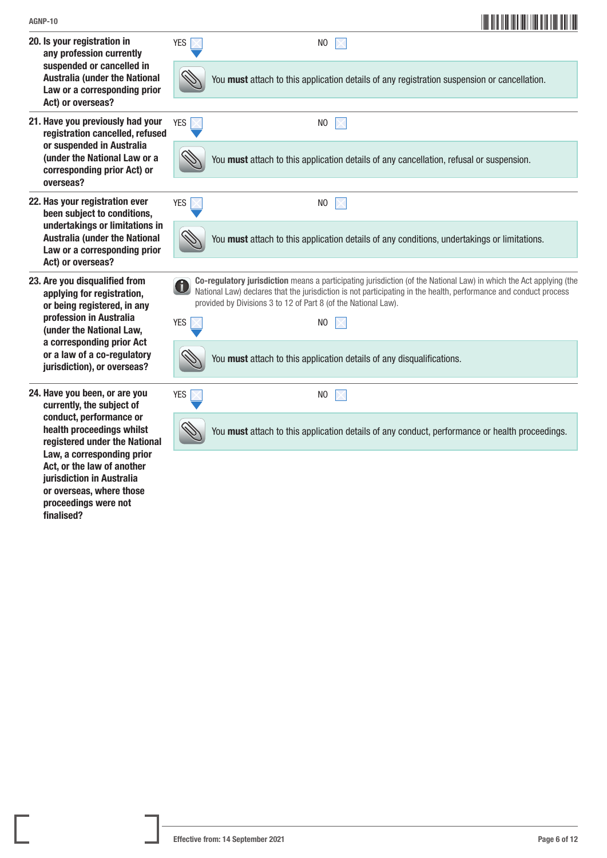or overseas, where those proceedings were not

finalised?

| AGNP-10                                                                                                                     |            | <u> III MANIJI MATI MANIJI MANIJI MANIJI MAN</u>                                                                                                                                                                                                                                                         |
|-----------------------------------------------------------------------------------------------------------------------------|------------|----------------------------------------------------------------------------------------------------------------------------------------------------------------------------------------------------------------------------------------------------------------------------------------------------------|
| 20. Is your registration in<br>any profession currently                                                                     | <b>YES</b> | N <sub>0</sub>                                                                                                                                                                                                                                                                                           |
| suspended or cancelled in<br><b>Australia (under the National</b><br>Law or a corresponding prior<br>Act) or overseas?      |            | You must attach to this application details of any registration suspension or cancellation.                                                                                                                                                                                                              |
| 21. Have you previously had your<br>registration cancelled, refused                                                         | <b>YES</b> | N <sub>0</sub>                                                                                                                                                                                                                                                                                           |
| or suspended in Australia<br>(under the National Law or a<br>corresponding prior Act) or<br>overseas?                       |            | You must attach to this application details of any cancellation, refusal or suspension.                                                                                                                                                                                                                  |
| 22. Has your registration ever<br>been subject to conditions,                                                               | <b>YES</b> | N <sub>0</sub>                                                                                                                                                                                                                                                                                           |
| undertakings or limitations in<br><b>Australia (under the National</b><br>Law or a corresponding prior<br>Act) or overseas? |            | You must attach to this application details of any conditions, undertakings or limitations.                                                                                                                                                                                                              |
| 23. Are you disqualified from<br>applying for registration,<br>or being registered, in any                                  | 0          | Co-regulatory jurisdiction means a participating jurisdiction (of the National Law) in which the Act applying (the<br>National Law) declares that the jurisdiction is not participating in the health, performance and conduct process<br>provided by Divisions 3 to 12 of Part 8 (of the National Law). |
| profession in Australia<br>(under the National Law,                                                                         | <b>YES</b> | N <sub>0</sub>                                                                                                                                                                                                                                                                                           |
| a corresponding prior Act<br>or a law of a co-regulatory<br>jurisdiction), or overseas?                                     |            | You must attach to this application details of any disqualifications.                                                                                                                                                                                                                                    |
| 24. Have you been, or are you<br>currently, the subject of                                                                  | <b>YES</b> | N <sub>0</sub>                                                                                                                                                                                                                                                                                           |
| conduct, performance or<br>health proceedings whilst<br>registered under the National                                       |            | You must attach to this application details of any conduct, performance or health proceedings.                                                                                                                                                                                                           |
| Law, a corresponding prior<br>Act, or the law of another<br><b>iurisdiction in Australia</b>                                |            |                                                                                                                                                                                                                                                                                                          |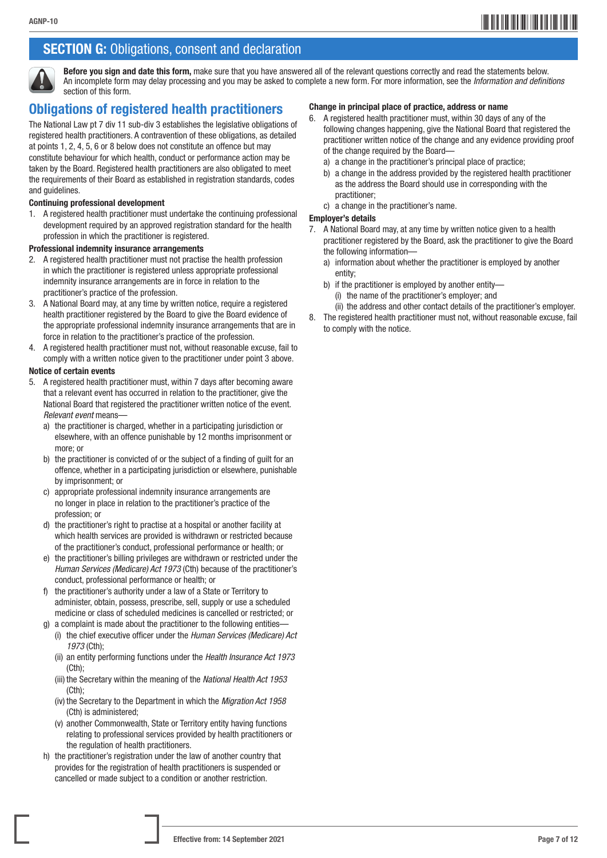### **SECTION G:** Obligations, consent and declaration



Before you sign and date this form, make sure that you have answered all of the relevant questions correctly and read the statements below. An incomplete form may delay processing and you may be asked to complete a new form. For more information, see the *Information and definitions*  section of this form.

### Obligations of registered health practitioners

The National Law pt 7 div 11 sub-div 3 establishes the legislative obligations of registered health practitioners. A contravention of these obligations, as detailed at points 1, 2, 4, 5, 6 or 8 below does not constitute an offence but may constitute behaviour for which health, conduct or performance action may be taken by the Board. Registered health practitioners are also obligated to meet the requirements of their Board as established in registration standards, codes and guidelines.

#### Continuing professional development

1. A registered health practitioner must undertake the continuing professional development required by an approved registration standard for the health profession in which the practitioner is registered.

#### Professional indemnity insurance arrangements

- 2. A registered health practitioner must not practise the health profession in which the practitioner is registered unless appropriate professional indemnity insurance arrangements are in force in relation to the practitioner's practice of the profession.
- 3. A National Board may, at any time by written notice, require a registered health practitioner registered by the Board to give the Board evidence of the appropriate professional indemnity insurance arrangements that are in force in relation to the practitioner's practice of the profession.
- 4. A registered health practitioner must not, without reasonable excuse, fail to comply with a written notice given to the practitioner under point 3 above.

#### Notice of certain events

- 5. A registered health practitioner must, within 7 days after becoming aware that a relevant event has occurred in relation to the practitioner, give the National Board that registered the practitioner written notice of the event. *Relevant event* means
	- a) the practitioner is charged, whether in a participating jurisdiction or elsewhere, with an offence punishable by 12 months imprisonment or more; or
	- b) the practitioner is convicted of or the subject of a finding of guilt for an offence, whether in a participating jurisdiction or elsewhere, punishable by imprisonment; or
	- c) appropriate professional indemnity insurance arrangements are no longer in place in relation to the practitioner's practice of the profession; or
	- d) the practitioner's right to practise at a hospital or another facility at which health services are provided is withdrawn or restricted because of the practitioner's conduct, professional performance or health; or
	- e) the practitioner's billing privileges are withdrawn or restricted under the *Human Services (Medicare) Act 1973* (Cth) because of the practitioner's conduct, professional performance or health; or
	- f) the practitioner's authority under a law of a State or Territory to administer, obtain, possess, prescribe, sell, supply or use a scheduled medicine or class of scheduled medicines is cancelled or restricted; or
	- g) a complaint is made about the practitioner to the following entities— (i) the chief executive officer under the *Human Services (Medicare) Act 1973* (Cth);
		- (ii) an entity performing functions under the *Health Insurance Act 1973*  (Cth);
		- (iii) the Secretary within the meaning of the *National Health Act 1953*  (Cth);
		- (iv) the Secretary to the Department in which the *Migration Act 1958* (Cth) is administered;
		- (v) another Commonwealth, State or Territory entity having functions relating to professional services provided by health practitioners or the regulation of health practitioners.
	- h) the practitioner's registration under the law of another country that provides for the registration of health practitioners is suspended or cancelled or made subject to a condition or another restriction.

#### Change in principal place of practice, address or name

- 6. A registered health practitioner must, within 30 days of any of the following changes happening, give the National Board that registered the practitioner written notice of the change and any evidence providing proof of the change required by the Board
	- a) a change in the practitioner's principal place of practice;
	- b) a change in the address provided by the registered health practitioner as the address the Board should use in corresponding with the practitioner;
	- c) a change in the practitioner's name.

#### Employer's details

- 7. A National Board may, at any time by written notice given to a health practitioner registered by the Board, ask the practitioner to give the Board the following information
	- a) information about whether the practitioner is employed by another entity;
	- b) if the practitioner is employed by another entity— (i) the name of the practitioner's employer; and
	- (ii) the address and other contact details of the practitioner's employer.
- 8. The registered health practitioner must not, without reasonable excuse, fail to comply with the notice.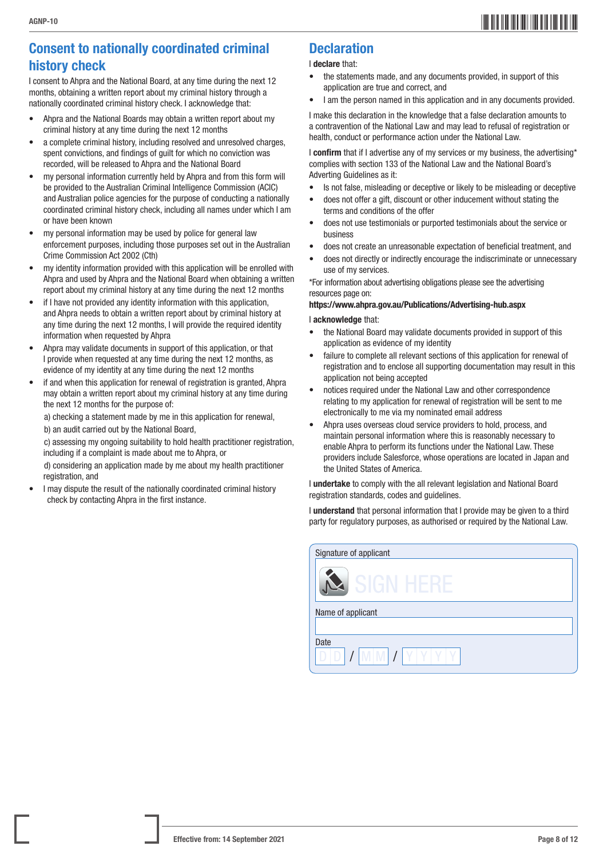### Consent to nationally coordinated criminal history check

I consent to Ahpra and the National Board, at any time during the next 12 months, obtaining a written report about my criminal history through a nationally coordinated criminal history check. I acknowledge that:

- Ahpra and the National Boards may obtain a written report about my criminal history at any time during the next 12 months
- a complete criminal history, including resolved and unresolved charges, spent convictions, and findings of guilt for which no conviction was recorded, will be released to Ahpra and the National Board
- my personal information currently held by Ahpra and from this form will be provided to the Australian Criminal Intelligence Commission (ACIC) and Australian police agencies for the purpose of conducting a nationally coordinated criminal history check, including all names under which I am or have been known
- my personal information may be used by police for general law enforcement purposes, including those purposes set out in the Australian Crime Commission Act 2002 (Cth)
- my identity information provided with this application will be enrolled with Ahpra and used by Ahpra and the National Board when obtaining a written report about my criminal history at any time during the next 12 months
- if I have not provided any identity information with this application, and Ahpra needs to obtain a written report about by criminal history at any time during the next 12 months, I will provide the required identity information when requested by Ahpra
- Ahpra may validate documents in support of this application, or that I provide when requested at any time during the next 12 months, as evidence of my identity at any time during the next 12 months
- if and when this application for renewal of registration is granted, Ahpra may obtain a written report about my criminal history at any time during the next 12 months for the purpose of:

a) checking a statement made by me in this application for renewal, b) an audit carried out by the National Board,

c) assessing my ongoing suitability to hold health practitioner registration, including if a complaint is made about me to Ahpra, or

d) considering an application made by me about my health practitioner registration, and

• I may dispute the result of the nationally coordinated criminal history check by contacting Ahpra in the first instance.

### **Declaration**

#### I declare that:

- the statements made, and any documents provided, in support of this application are true and correct, and
- I am the person named in this application and in any documents provided.

I make this declaration in the knowledge that a false declaration amounts to a contravention of the National Law and may lead to refusal of registration or health, conduct or performance action under the National Law.

I confirm that if I advertise any of my services or my business, the advertising\* complies with section 133 of the National Law and the National Board's Adverting Guidelines as it:

- Is not false, misleading or deceptive or likely to be misleading or deceptive
- does not offer a gift, discount or other inducement without stating the terms and conditions of the offer
- does not use testimonials or purported testimonials about the service or business
- does not create an unreasonable expectation of beneficial treatment, and
- does not directly or indirectly encourage the indiscriminate or unnecessary use of my services.

\*For information about advertising obligations please see the advertising resources page on:

#### [https://www.ahpra.gov.au/Publications/Advertising-hub.aspx](https://www.ahpra.gov.au/Publications/Advertising-hub.aspx )

#### I acknowledge that:

- the National Board may validate documents provided in support of this application as evidence of my identity
- failure to complete all relevant sections of this application for renewal of registration and to enclose all supporting documentation may result in this application not being accepted
- notices required under the National Law and other correspondence relating to my application for renewal of registration will be sent to me electronically to me via my nominated email address
- Ahpra uses overseas cloud service providers to hold, process, and maintain personal information where this is reasonably necessary to enable Ahpra to perform its functions under the National Law. These providers include Salesforce, whose operations are located in Japan and the United States of America.

I undertake to comply with the all relevant legislation and National Board registration standards, codes and guidelines.

I understand that personal information that I provide may be given to a third party for regulatory purposes, as authorised or required by the National Law.

| Signature of applicant |
|------------------------|
| SIGN                   |
| Name of applicant      |
| Date<br><b>M</b>       |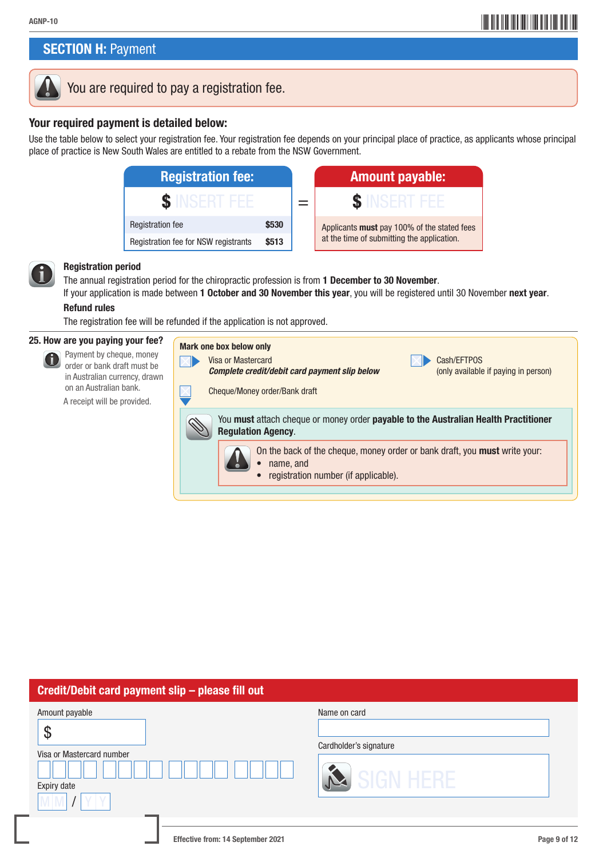## \*AGNP-109\* AGNP-10

### **SECTION H: Payment**



### You are required to pay a registration fee.

### Your required payment is detailed below:

Use the table below to select your registration fee. Your registration fee depends on your principal place of practice, as applicants whose principal place of practice is New South Wales are entitled to a rebate from the NSW Government.

| <b>Registration fee:</b>                      |       |  | <b>Amount payable:</b>                      |  |
|-----------------------------------------------|-------|--|---------------------------------------------|--|
|                                               |       |  |                                             |  |
| <b>Registration fee</b>                       | \$530 |  | Applicants must pay 100% of the stated fees |  |
| Registration fee for NSW registrants<br>\$513 |       |  | at the time of submitting the application.  |  |



#### Registration period

The annual registration period for the chiropractic profession is from 1 December to 30 November. If your application is made between 1 October and 30 November this year, you will be registered until 30 November next year.

#### Refund rules

The registration fee will be refunded if the application is not approved.

#### 25. How are you paying your fee?

 Payment by cheque, money 6 order or bank draft must be in Australian currency, drawn on an Australian bank. A receipt will be provided.

| <b>Mark one box below only</b><br>Cash/EFTPOS<br>Visa or Mastercard<br>(only available if paying in person)<br>Complete credit/debit card payment slip below<br>Cheque/Money order/Bank draft |  |  |  |  |  |
|-----------------------------------------------------------------------------------------------------------------------------------------------------------------------------------------------|--|--|--|--|--|
| You must attach cheque or money order payable to the Australian Health Practitioner<br><b>Regulation Agency.</b>                                                                              |  |  |  |  |  |
| On the back of the cheque, money order or bank draft, you <b>must</b> write your:<br>name, and<br>registration number (if applicable).                                                        |  |  |  |  |  |

### Credit/Debit card payment slip – please fill out

| Amount payable<br>$\boldsymbol{\mathcal{S}}$<br>Visa or Mastercard number<br>Expiry date | Name on card<br>Cardholder's signature<br><b>SIGN HERE</b> |
|------------------------------------------------------------------------------------------|------------------------------------------------------------|
| Effective from: 14 September 2021                                                        | Page 9 of 12                                               |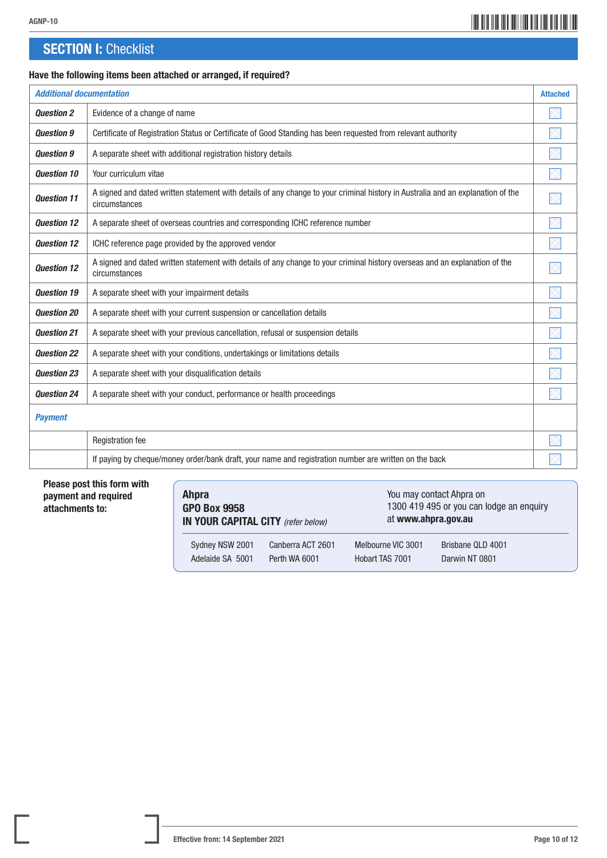## \*AGNP-1010\* AGNP-10

### **SECTION I: Checklist**

#### Have the following items been attached or arranged, if required?

| <b>Additional documentation</b> |                                                                                                                                                  | <b>Attached</b> |
|---------------------------------|--------------------------------------------------------------------------------------------------------------------------------------------------|-----------------|
| <b>Question 2</b>               | Evidence of a change of name                                                                                                                     |                 |
| <b>Question 9</b>               | Certificate of Registration Status or Certificate of Good Standing has been requested from relevant authority                                    |                 |
| <b>Question 9</b>               | A separate sheet with additional registration history details                                                                                    |                 |
| <b>Ouestion 10</b>              | Your curriculum vitae                                                                                                                            |                 |
| <b>Ouestion 11</b>              | A signed and dated written statement with details of any change to your criminal history in Australia and an explanation of the<br>circumstances |                 |
| <b>Ouestion 12</b>              | A separate sheet of overseas countries and corresponding ICHC reference number                                                                   |                 |
| <b>Ouestion 12</b>              | ICHC reference page provided by the approved vendor                                                                                              |                 |
| <b>Ouestion 12</b>              | A signed and dated written statement with details of any change to your criminal history overseas and an explanation of the<br>circumstances     |                 |
| <b>Ouestion 19</b>              | A separate sheet with your impairment details                                                                                                    |                 |
| <b>Question 20</b>              | A separate sheet with your current suspension or cancellation details                                                                            |                 |
| <b>Question 21</b>              | A separate sheet with your previous cancellation, refusal or suspension details                                                                  |                 |
| <b>Ouestion 22</b>              | A separate sheet with your conditions, undertakings or limitations details                                                                       |                 |
| <b>Ouestion 23</b>              | A separate sheet with your disqualification details                                                                                              |                 |
| <b>Ouestion 24</b>              | A separate sheet with your conduct, performance or health proceedings                                                                            |                 |
| <b>Payment</b>                  |                                                                                                                                                  |                 |
|                                 | <b>Registration fee</b>                                                                                                                          |                 |
|                                 | If paying by cheque/money order/bank draft, your name and registration number are written on the back                                            |                 |

#### Please post this form with payment and required attachments to:

| <b>Ahpra</b><br><b>GPO Box 9958</b><br>IN YOUR CAPITAL CITY (refer below) |                   |                    | You may contact Ahpra on<br>1300 419 495 or you can lodge an enquiry<br>at www.ahpra.gov.au |  |
|---------------------------------------------------------------------------|-------------------|--------------------|---------------------------------------------------------------------------------------------|--|
| Sydney NSW 2001                                                           | Canberra ACT 2601 | Melbourne VIC 3001 | Brisbane QLD 4001                                                                           |  |
| Adelaide SA 5001                                                          | Perth WA 6001     | Hobart TAS 7001    | Darwin NT 0801                                                                              |  |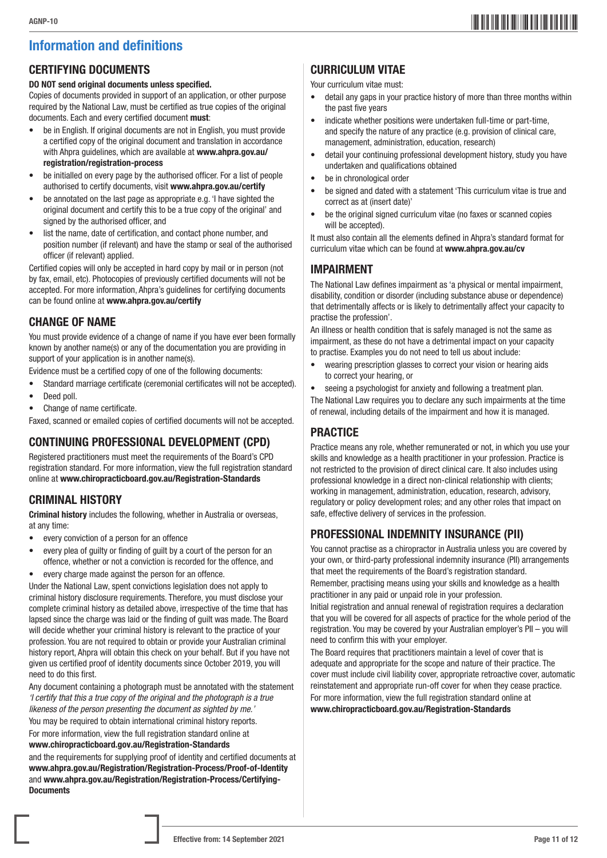### Information and definitions

### CERTIFYING DOCUMENTS

#### DO NOT send original documents unless specified.

Copies of documents provided in support of an application, or other purpose required by the National Law, must be certified as true copies of the original documents. Each and every certified document must:

- be in English. If original documents are not in English, you must provide a certified copy of the original document and translation in accordance with Ahpra quidelines, which are available at www.ahpra.gov.au/ registration/registration-process
- be initialled on every page by the authorised officer. For a list of people authorised to certify documents, visit www.ahpra.gov.au/certify
- be annotated on the last page as appropriate e.g. 'I have sighted the original document and certify this to be a true copy of the original' and signed by the authorised officer, and
- list the name, date of certification, and contact phone number, and position number (if relevant) and have the stamp or seal of the authorised officer (if relevant) applied.

Certified copies will only be accepted in hard copy by mail or in person (not by fax, email, etc). Photocopies of previously certified documents will not be accepted. For more information, Ahpra's guidelines for certifying documents can be found online at www.ahpra.gov.au/certify

### CHANGE OF NAME

You must provide evidence of a change of name if you have ever been formally known by another name(s) or any of the documentation you are providing in support of your application is in another name(s).

Evidence must be a certified copy of one of the following documents:

- Standard marriage certificate (ceremonial certificates will not be accepted).
- Deed poll.
- Change of name certificate.

Faxed, scanned or emailed copies of certified documents will not be accepted.

### CONTINUING PROFESSIONAL DEVELOPMENT (CPD)

Registered practitioners must meet the requirements of the Board's CPD registration standard. For more information, view the full registration standard online at www.chiropracticboard.gov.au/Registration-Standards

### CRIMINAL HISTORY

Criminal history includes the following, whether in Australia or overseas, at any time:

- every conviction of a person for an offence
- every plea of guilty or finding of guilt by a court of the person for an offence, whether or not a conviction is recorded for the offence, and
- every charge made against the person for an offence.

Under the National Law, spent convictions legislation does not apply to criminal history disclosure requirements. Therefore, you must disclose your complete criminal history as detailed above, irrespective of the time that has lapsed since the charge was laid or the finding of guilt was made. The Board will decide whether your criminal history is relevant to the practice of your profession. You are not required to obtain or provide your Australian criminal history report, Ahpra will obtain this check on your behalf. But if you have not given us certified proof of identity documents since October 2019, you will need to do this first.

Any document containing a photograph must be annotated with the statement *'I certify that this a true copy of the original and the photograph is a true likeness of the person presenting the document as sighted by me.'*

You may be required to obtain international criminal history reports.

For more information, view the full registration standard online at www.chiropracticboard.gov.au/Registration-Standards

and the requirements for supplying proof of identity and certified documents at www.ahpra.gov.au/Registration/Registration-Process/Proof-of-Identity and www.ahpra.gov.au/Registration/Registration-Process/Certifying-**Documents** 

### CURRICULUM VITAE

Your curriculum vitae must:

- detail any gaps in your practice history of more than three months within the past five years
- indicate whether positions were undertaken full-time or part-time, and specify the nature of any practice (e.g. provision of clinical care, management, administration, education, research)
- detail your continuing professional development history, study you have undertaken and qualifications obtained
- be in chronological order
- be signed and dated with a statement 'This curriculum vitae is true and correct as at (insert date)'
- be the original signed curriculum vitae (no faxes or scanned copies will be accepted).

It must also contain all the elements defined in Ahpra's standard format for curriculum vitae which can be found at www.ahpra.gov.au/cv

### IMPAIRMENT

The National Law defines impairment as 'a physical or mental impairment, disability, condition or disorder (including substance abuse or dependence) that detrimentally affects or is likely to detrimentally affect your capacity to practise the profession'.

An illness or health condition that is safely managed is not the same as impairment, as these do not have a detrimental impact on your capacity to practise. Examples you do not need to tell us about include:

• wearing prescription glasses to correct your vision or hearing aids to correct your hearing, or

seeing a psychologist for anxiety and following a treatment plan. The National Law requires you to declare any such impairments at the time of renewal, including details of the impairment and how it is managed.

### **PRACTICE**

Practice means any role, whether remunerated or not, in which you use your skills and knowledge as a health practitioner in your profession. Practice is not restricted to the provision of direct clinical care. It also includes using professional knowledge in a direct non-clinical relationship with clients; working in management, administration, education, research, advisory, regulatory or policy development roles; and any other roles that impact on safe, effective delivery of services in the profession.

### PROFESSIONAL INDEMNITY INSURANCE (PII)

You cannot practise as a chiropractor in Australia unless you are covered by your own, or third-party professional indemnity insurance (PII) arrangements that meet the requirements of the Board's registration standard.

Remember, practising means using your skills and knowledge as a health practitioner in any paid or unpaid role in your profession.

Initial registration and annual renewal of registration requires a declaration that you will be covered for all aspects of practice for the whole period of the registration. You may be covered by your Australian employer's PII – you will need to confirm this with your employer.

The Board requires that practitioners maintain a level of cover that is adequate and appropriate for the scope and nature of their practice. The cover must include civil liability cover, appropriate retroactive cover, automatic reinstatement and appropriate run-off cover for when they cease practice.

For more information, view the full registration standard online at www.chiropracticboard.gov.au/Registration-Standards

## \*AGNP-1011\* AGNP-10